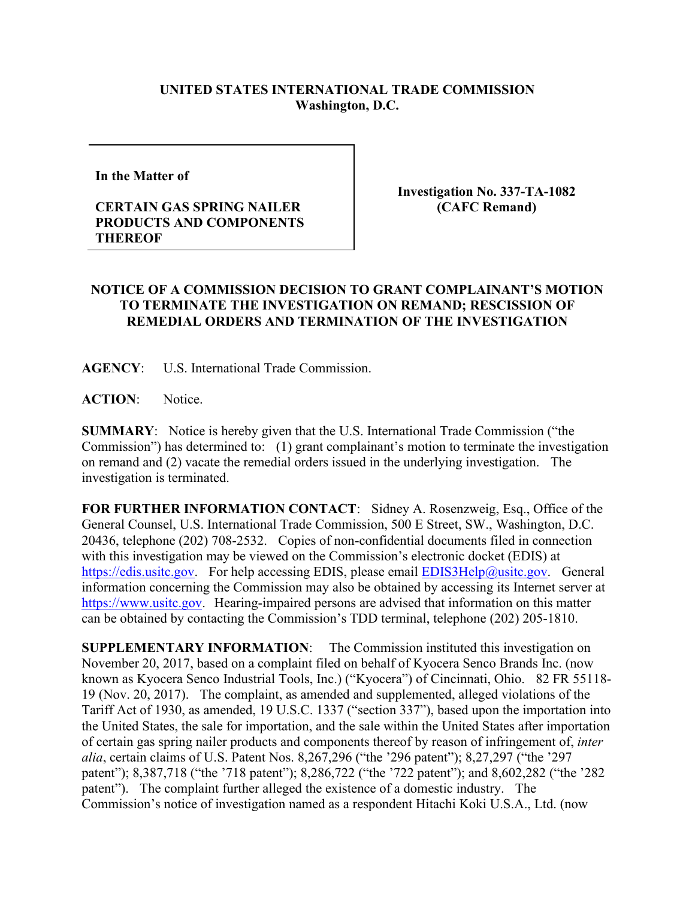## **UNITED STATES INTERNATIONAL TRADE COMMISSION Washington, D.C.**

**In the Matter of** 

## **CERTAIN GAS SPRING NAILER PRODUCTS AND COMPONENTS THEREOF**

**Investigation No. 337-TA-1082 (CAFC Remand)** 

## **NOTICE OF A COMMISSION DECISION TO GRANT COMPLAINANT'S MOTION TO TERMINATE THE INVESTIGATION ON REMAND; RESCISSION OF REMEDIAL ORDERS AND TERMINATION OF THE INVESTIGATION**

**AGENCY**: U.S. International Trade Commission.

**ACTION**: Notice.

**SUMMARY**: Notice is hereby given that the U.S. International Trade Commission ("the Commission") has determined to: (1) grant complainant's motion to terminate the investigation on remand and (2) vacate the remedial orders issued in the underlying investigation. The investigation is terminated.

**FOR FURTHER INFORMATION CONTACT**: Sidney A. Rosenzweig, Esq., Office of the General Counsel, U.S. International Trade Commission, 500 E Street, SW., Washington, D.C. 20436, telephone (202) 708-2532. Copies of non-confidential documents filed in connection with this investigation may be viewed on the Commission's electronic docket (EDIS) at [https://edis.usitc.gov.](https://edis.usitc.gov/) For help accessing EDIS, please email [EDIS3Help@usitc.gov.](mailto:EDIS3Help@usitc.gov) General information concerning the Commission may also be obtained by accessing its Internet server at [https://www.usitc.gov.](https://www.usitc.gov/) Hearing-impaired persons are advised that information on this matter can be obtained by contacting the Commission's TDD terminal, telephone (202) 205-1810.

**SUPPLEMENTARY INFORMATION**: The Commission instituted this investigation on November 20, 2017, based on a complaint filed on behalf of Kyocera Senco Brands Inc. (now known as Kyocera Senco Industrial Tools, Inc.) ("Kyocera") of Cincinnati, Ohio. 82 FR 55118- 19 (Nov. 20, 2017). The complaint, as amended and supplemented, alleged violations of the Tariff Act of 1930, as amended, 19 U.S.C. 1337 ("section 337"), based upon the importation into the United States, the sale for importation, and the sale within the United States after importation of certain gas spring nailer products and components thereof by reason of infringement of, *inter alia*, certain claims of U.S. Patent Nos. 8,267,296 ("the '296 patent"); 8,27,297 ("the '297 patent"); 8,387,718 ("the '718 patent"); 8,286,722 ("the '722 patent"); and 8,602,282 ("the '282 patent"). The complaint further alleged the existence of a domestic industry. The Commission's notice of investigation named as a respondent Hitachi Koki U.S.A., Ltd. (now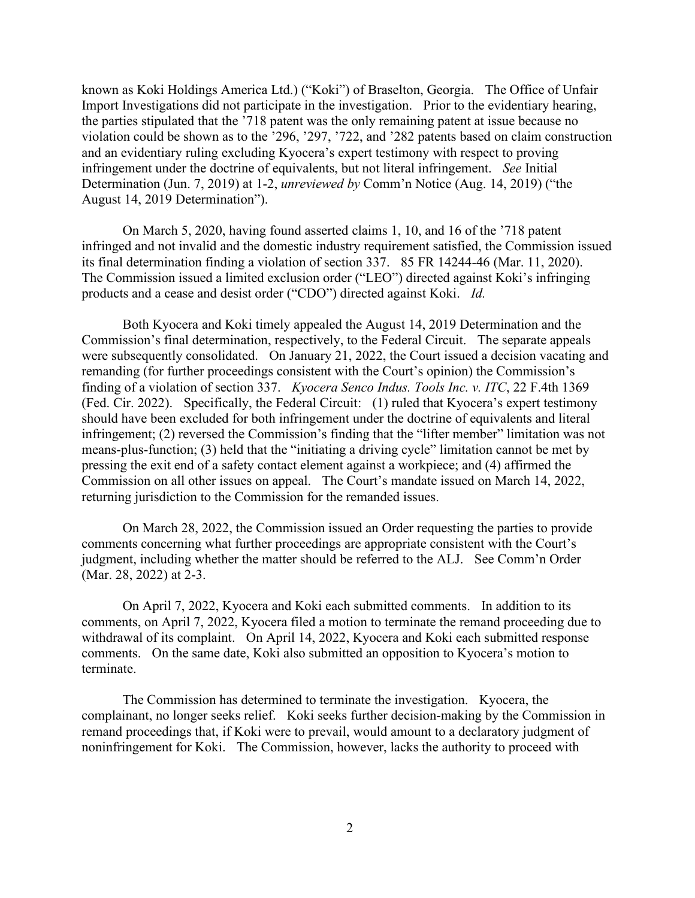known as Koki Holdings America Ltd.) ("Koki") of Braselton, Georgia. The Office of Unfair Import Investigations did not participate in the investigation. Prior to the evidentiary hearing, the parties stipulated that the '718 patent was the only remaining patent at issue because no violation could be shown as to the '296, '297, '722, and '282 patents based on claim construction and an evidentiary ruling excluding Kyocera's expert testimony with respect to proving infringement under the doctrine of equivalents, but not literal infringement. *See* Initial Determination (Jun. 7, 2019) at 1-2, *unreviewed by* Comm'n Notice (Aug. 14, 2019) ("the August 14, 2019 Determination").

On March 5, 2020, having found asserted claims 1, 10, and 16 of the '718 patent infringed and not invalid and the domestic industry requirement satisfied, the Commission issued its final determination finding a violation of section 337. 85 FR 14244-46 (Mar. 11, 2020). The Commission issued a limited exclusion order ("LEO") directed against Koki's infringing products and a cease and desist order ("CDO") directed against Koki. *Id.*

Both Kyocera and Koki timely appealed the August 14, 2019 Determination and the Commission's final determination, respectively, to the Federal Circuit. The separate appeals were subsequently consolidated. On January 21, 2022, the Court issued a decision vacating and remanding (for further proceedings consistent with the Court's opinion) the Commission's finding of a violation of section 337. *Kyocera Senco Indus. Tools Inc. v. ITC*, 22 F.4th 1369 (Fed. Cir. 2022). Specifically, the Federal Circuit: (1) ruled that Kyocera's expert testimony should have been excluded for both infringement under the doctrine of equivalents and literal infringement; (2) reversed the Commission's finding that the "lifter member" limitation was not means-plus-function; (3) held that the "initiating a driving cycle" limitation cannot be met by pressing the exit end of a safety contact element against a workpiece; and (4) affirmed the Commission on all other issues on appeal. The Court's mandate issued on March 14, 2022, returning jurisdiction to the Commission for the remanded issues.

On March 28, 2022, the Commission issued an Order requesting the parties to provide comments concerning what further proceedings are appropriate consistent with the Court's judgment, including whether the matter should be referred to the ALJ. See Comm'n Order (Mar. 28, 2022) at 2-3.

On April 7, 2022, Kyocera and Koki each submitted comments. In addition to its comments, on April 7, 2022, Kyocera filed a motion to terminate the remand proceeding due to withdrawal of its complaint. On April 14, 2022, Kyocera and Koki each submitted response comments. On the same date, Koki also submitted an opposition to Kyocera's motion to terminate.

The Commission has determined to terminate the investigation. Kyocera, the complainant, no longer seeks relief. Koki seeks further decision-making by the Commission in remand proceedings that, if Koki were to prevail, would amount to a declaratory judgment of noninfringement for Koki. The Commission, however, lacks the authority to proceed with